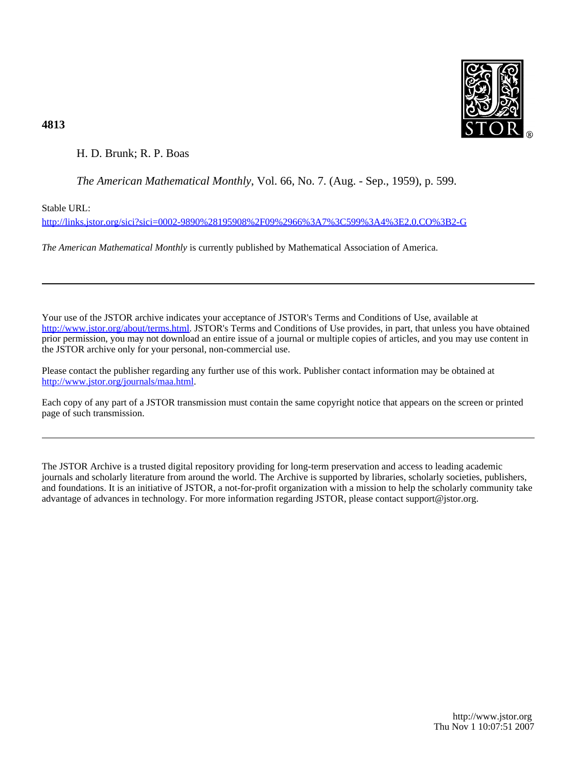

# **4813**

# H. D. Brunk; R. P. Boas

## *The American Mathematical Monthly*, Vol. 66, No. 7. (Aug. - Sep., 1959), p. 599.

Stable URL:

<http://links.jstor.org/sici?sici=0002-9890%28195908%2F09%2966%3A7%3C599%3A4%3E2.0.CO%3B2-G>

*The American Mathematical Monthly* is currently published by Mathematical Association of America.

Your use of the JSTOR archive indicates your acceptance of JSTOR's Terms and Conditions of Use, available at [http://www.jstor.org/about/terms.html.](http://www.jstor.org/about/terms.html) JSTOR's Terms and Conditions of Use provides, in part, that unless you have obtained prior permission, you may not download an entire issue of a journal or multiple copies of articles, and you may use content in the JSTOR archive only for your personal, non-commercial use.

Please contact the publisher regarding any further use of this work. Publisher contact information may be obtained at <http://www.jstor.org/journals/maa.html>.

Each copy of any part of a JSTOR transmission must contain the same copyright notice that appears on the screen or printed page of such transmission.

The JSTOR Archive is a trusted digital repository providing for long-term preservation and access to leading academic journals and scholarly literature from around the world. The Archive is supported by libraries, scholarly societies, publishers, and foundations. It is an initiative of JSTOR, a not-for-profit organization with a mission to help the scholarly community take advantage of advances in technology. For more information regarding JSTOR, please contact support@jstor.org.